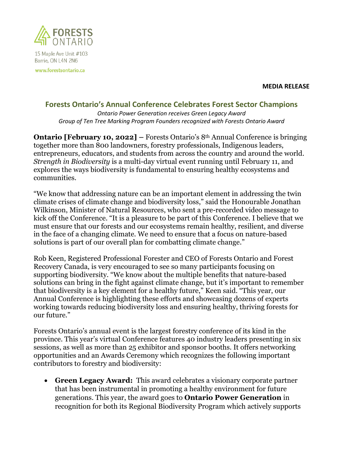

15 Maple Ave Unit #103 Barrie, ON L4N 2N6

www.forestsontario.ca

**MEDIA RELEASE**

## **Forests Ontario's Annual Conference Celebrates Forest Sector Champions**

*Ontario Power Generation receives Green Legacy Award Group of Ten Tree Marking Program Founders recognized with Forests Ontario Award*

**Ontario [February 10, 2022] –** Forests Ontario's 8th Annual Conference is bringing together more than 800 landowners, forestry professionals, Indigenous leaders, entrepreneurs, educators, and students from across the country and around the world. *Strength in Biodiversity* is a multi-day virtual event running until February 11, and explores the ways biodiversity is fundamental to ensuring healthy ecosystems and communities.

"We know that addressing nature can be an important element in addressing the twin climate crises of climate change and biodiversity loss," said the Honourable Jonathan Wilkinson, Minister of Natural Resources, who sent a pre-recorded video message to kick off the Conference. "It is a pleasure to be part of this Conference. I believe that we must ensure that our forests and our ecosystems remain healthy, resilient, and diverse in the face of a changing climate. We need to ensure that a focus on nature-based solutions is part of our overall plan for combatting climate change."

Rob Keen, Registered Professional Forester and CEO of Forests Ontario and Forest Recovery Canada, is very encouraged to see so many participants focusing on supporting biodiversity. "We know about the multiple benefits that nature-based solutions can bring in the fight against climate change, but it's important to remember that biodiversity is a key element for a healthy future," Keen said. "This year, our Annual Conference is highlighting these efforts and showcasing dozens of experts working towards reducing biodiversity loss and ensuring healthy, thriving forests for our future."

Forests Ontario's annual event is the largest forestry conference of its kind in the province. This year's virtual Conference features 40 industry leaders presenting in six sessions, as well as more than 25 exhibitor and sponsor booths. It offers networking opportunities and an Awards Ceremony which recognizes the following important contributors to forestry and biodiversity:

• **Green Legacy Award:** This award celebrates a visionary corporate partner that has been instrumental in promoting a healthy environment for future generations. This year, the award goes to **Ontario Power Generation** in recognition for both its Regional Biodiversity Program which actively supports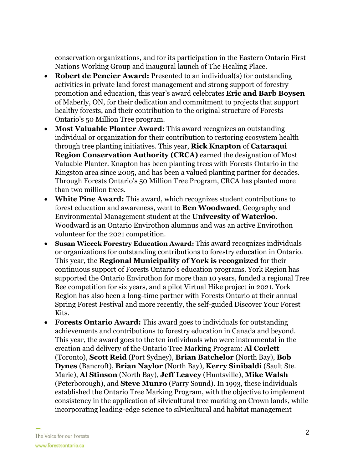conservation organizations, and for its participation in the Eastern Ontario First Nations Working Group and inaugural launch of The Healing Place.

- **Robert de Pencier Award:** Presented to an individual(s) for outstanding activities in private land forest management and strong support of forestry promotion and education, this year's award celebrates **Eric and Barb Boysen** of Maberly, ON, for their dedication and commitment to projects that support healthy forests, and their contribution to the original structure of Forests Ontario's 50 Million Tree program.
- **Most Valuable Planter Award:** This award recognizes an outstanding individual or organization for their contribution to restoring ecosystem health through tree planting initiatives. This year, **Rick Knapton** of **Cataraqui Region Conservation Authority (CRCA)** earned the designation of Most Valuable Planter. Knapton has been planting trees with Forests Ontario in the Kingston area since 2005, and has been a valued planting partner for decades. Through Forests Ontario's 50 Million Tree Program, CRCA has planted more than two million trees.
- **White Pine Award:** This award, which recognizes student contributions to forest education and awareness, went to **Ben Woodward**, Geography and Environmental Management student at the **University of Waterloo**. Woodward is an Ontario Envirothon alumnus and was an active Envirothon volunteer for the 2021 competition.
- **Susan Wiecek Forestry Education Award:** This award recognizes individuals or organizations for outstanding contributions to forestry education in Ontario. This year, the **Regional Municipality of York is recognized** for their continuous support of Forests Ontario's education programs. York Region has supported the Ontario Envirothon for more than 10 years, funded a regional Tree Bee competition for six years, and a pilot Virtual Hike project in 2021. York Region has also been a long-time partner with Forests Ontario at their annual Spring Forest Festival and more recently, the self-guided Discover Your Forest Kits.
- **Forests Ontario Award:** This award goes to individuals for outstanding achievements and contributions to forestry education in Canada and beyond. This year, the award goes to the ten individuals who were instrumental in the creation and delivery of the Ontario Tree Marking Program: **Al Corlett**  (Toronto), **Scott Reid** (Port Sydney), **Brian Batchelor** (North Bay), **Bob Dynes** (Bancroft), **Brian Naylor** (North Bay), **Kerry Sinibaldi** (Sault Ste. Marie), **Al Stinson** (North Bay), **Jeff Leavey** (Huntsville), **Mike Walsh** (Peterborough), and **Steve Munro** (Parry Sound). In 1993, these individuals established the Ontario Tree Marking Program, with the objective to implement consistency in the application of silvicultural tree marking on Crown lands, while incorporating leading-edge science to silvicultural and habitat management